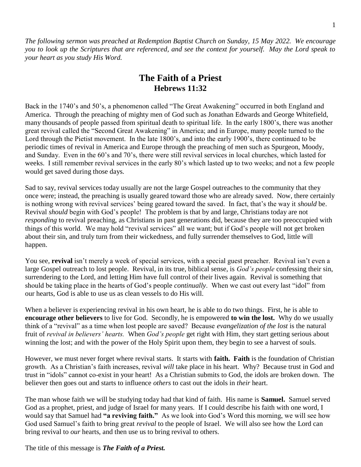*The following sermon was preached at Redemption Baptist Church on Sunday, 15 May 2022. We encourage you to look up the Scriptures that are referenced, and see the context for yourself. May the Lord speak to your heart as you study His Word.* 

# **The Faith of a Priest Hebrews 11:32**

Back in the 1740's and 50's, a phenomenon called "The Great Awakening" occurred in both England and America. Through the preaching of mighty men of God such as Jonathan Edwards and George Whitefield, many thousands of people passed from spiritual death to spiritual life. In the early 1800's, there was another great revival called the "Second Great Awakening" in America; and in Europe, many people turned to the Lord through the Pietist movement. In the late 1800's, and into the early 1900's, there continued to be periodic times of revival in America and Europe through the preaching of men such as Spurgeon, Moody, and Sunday. Even in the 60's and 70's, there were still revival services in local churches, which lasted for weeks. I still remember revival services in the early 80's which lasted up to two weeks; and not a few people would get saved during those days.

Sad to say, revival services today usually are not the large Gospel outreaches to the community that they once were; instead, the preaching is usually geared toward those who are already saved. Now, there certainly is nothing wrong with revival services' being geared toward the saved. In fact, that's the way it *should* be. Revival *should* begin with God's people! The problem is that by and large, Christians today are not *responding* to revival preaching, as Christians in past generations did, because they are too preoccupied with things of this world. We may hold "revival services" all we want; but if God's people will not get broken about their sin, and truly turn from their wickedness, and fully surrender themselves to God, little will happen.

You see, **revival** isn't merely a week of special services, with a special guest preacher. Revival isn't even a large Gospel outreach to lost people. Revival, in its true, biblical sense, is *God's people* confessing their sin, surrendering to the Lord, and letting Him have full control of their lives again. Revival is something that should be taking place in the hearts of God's people *continually*. When we cast out every last "idol" from our hearts, God is able to use us as clean vessels to do His will.

When a believer is experiencing revival in his own heart, he is able to do two things. First, he is able to **encourage other believers** to live for God.Secondly, he is empowered **to win the lost.** Why do we usually think of a "revival" as a time when lost people are saved? Because *evangelization of the lost* is the natural fruit of *revival in believers' hearts.* When *God's people* get right with Him, they start getting serious about winning the lost; and with the power of the Holy Spirit upon them, they begin to see a harvest of souls.

However, we must never forget where revival starts. It starts with **faith. Faith** is the foundation of Christian growth. As a Christian's faith increases, revival *will* take place in his heart. Why? Because trust in God and trust in "idols" cannot co-exist in your heart! As a Christian submits to God, the idols are broken down. The believer then goes out and starts to influence *others* to cast out the idols in *their* heart.

The man whose faith we will be studying today had that kind of faith. His name is **Samuel.** Samuel served God as a prophet, priest, and judge of Israel for many years. If I could describe his faith with one word, I would say that Samuel had **"a reviving faith."** As we look into God's Word this morning, we will see how God used Samuel's faith to bring great *revival* to the people of Israel. We will also see how the Lord can bring revival to *our* hearts, and then use us to bring revival to others.

The title of this message is *The Faith of a Priest.*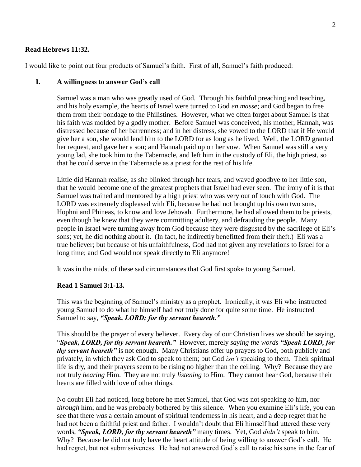### **Read Hebrews 11:32.**

I would like to point out four products of Samuel's faith. First of all, Samuel's faith produced:

#### **I. A willingness to answer God's call**

Samuel was a man who was greatly used of God. Through his faithful preaching and teaching, and his holy example, the hearts of Israel were turned to God *en masse*; and God began to free them from their bondage to the Philistines. However, what we often forget about Samuel is that his faith was molded by a godly mother. Before Samuel was conceived, his mother, Hannah, was distressed because of her barrenness; and in her distress, she vowed to the LORD that if He would give her a son, she would lend him to the LORD for as long as he lived. Well, the LORD granted her request, and gave her a son; and Hannah paid up on her vow. When Samuel was still a very young lad, she took him to the Tabernacle, and left him in the custody of Eli, the high priest, so that he could serve in the Tabernacle as a priest for the rest of his life.

Little did Hannah realise, as she blinked through her tears, and waved goodbye to her little son, that he would become one of the greatest prophets that Israel had ever seen. The irony of it is that Samuel was trained and mentored by a high priest who was very out of touch with God. The LORD was extremely displeased with Eli, because he had not brought up his own two sons, Hophni and Phineas, to know and love Jehovah. Furthermore, he had allowed them to be priests, even though he knew that they were committing adultery, and defrauding the people. Many people in Israel were turning away from God because they were disgusted by the sacrilege of Eli's sons; yet, he did nothing about it. (In fact, he indirectly benefitted from their theft.) Eli was a true believer; but because of his unfaithfulness, God had not given any revelations to Israel for a long time; and God would not speak directly to Eli anymore!

It was in the midst of these sad circumstances that God first spoke to young Samuel.

#### **Read 1 Samuel 3:1-13.**

This was the beginning of Samuel's ministry as a prophet. Ironically, it was Eli who instructed young Samuel to do what he himself had *not* truly done for quite some time. He instructed Samuel to say, *"Speak, LORD; for thy servant heareth."*

This should be the prayer of every believer. Every day of our Christian lives we should be saying, "*Speak, LORD, for thy servant heareth."* However, merely *saying the words "Speak LORD, for thy servant heareth"* is not enough.Many Christians offer up prayers to God, both publicly and privately, in which they ask God to speak to them; but God *isn't* speaking to them. Their spiritual life is dry, and their prayers seem to be rising no higher than the ceiling. Why? Because they are not truly *hearing* Him. They are not truly *listening* to Him. They cannot hear God, because their hearts are filled with love of other things.

No doubt Eli had noticed, long before he met Samuel, that God was not speaking *to* him, nor *through* him; and he was probably bothered by this silence. When you examine Eli's life, you can see that there *was* a certain amount of spiritual tenderness in his heart, and a deep regret that he had not been a faithful priest and father. I wouldn't doubt that Eli himself had uttered these very words, *"Speak, LORD, for thy servant heareth"* many times. Yet, God *didn't* speak to him. Why? Because he did not truly have the heart attitude of being willing to answer God's call. He had regret, but not submissiveness. He had not answered God's call to raise his sons in the fear of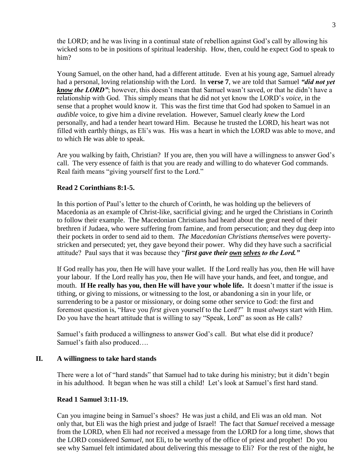the LORD; and he was living in a continual state of rebellion against God's call by allowing his wicked sons to be in positions of spiritual leadership. How, then, could he expect God to speak to him?

Young Samuel, on the other hand, had a different attitude. Even at his young age, Samuel already had a personal, loving relationship with the Lord. In **verse 7**, we are told that Samuel *"did not yet know the LORD"*; however, this doesn't mean that Samuel wasn't saved, or that he didn't have a relationship with God. This simply means that he did not yet know the LORD's *voice,* in the sense that a prophet would know it. This was the first time that God had spoken to Samuel in an *audible* voice, to give him a divine revelation. However, Samuel clearly *knew* the Lord personally, and had a tender heart toward Him. Because he trusted the LORD, his heart was not filled with earthly things, as Eli's was. His was a heart in which the LORD was able to move, and to which He was able to speak.

Are you walking by faith, Christian? If you are, then you will have a willingness to answer God's call. The very essence of faith is that you are ready and willing to do whatever God commands. Real faith means "giving yourself first to the Lord."

# **Read 2 Corinthians 8:1-5.**

In this portion of Paul's letter to the church of Corinth, he was holding up the believers of Macedonia as an example of Christ-like, sacrificial giving; and he urged the Christians in Corinth to follow their example. The Macedonian Christians had heard about the great need of their brethren if Judaea, who were suffering from famine, and from persecution; and they dug deep into their pockets in order to send aid to them. *The Macedonian Christians themselves* were povertystricken and persecuted; yet, they gave beyond their power. Why did they have such a sacrificial attitude? Paul says that it was because they "*first gave their own selves to the Lord."* 

If God really has *you,* then He will have your wallet. If the Lord really has *you,* then He will have your labour. If the Lord really has *you*, then He will have your hands, and feet, and tongue, and mouth.**If He really has you, then He will have your whole life.** It doesn't matter if the issue is tithing, or giving to missions, or witnessing to the lost, or abandoning a sin in your life, or surrendering to be a pastor or missionary, or doing some other service to God: the first and foremost question is, "Have you *first* given yourself to the Lord?" It must *always* start with Him. Do you have the heart attitude that is willing to say "Speak, Lord" as soon as He calls?

Samuel's faith produced a willingness to answer God's call. But what else did it produce? Samuel's faith also produced….

## **II. A willingness to take hard stands**

There were a lot of "hard stands" that Samuel had to take during his ministry; but it didn't begin in his adulthood. It began when he was still a child! Let's look at Samuel's first hard stand.

## **Read 1 Samuel 3:11-19.**

Can you imagine being in Samuel's shoes? He was just a child, and Eli was an old man. Not only that, but Eli was the high priest and judge of Israel! The fact that *Samuel* received a message from the LORD, when Eli had *not* received a message from the LORD for a long time, shows that the LORD considered *Samuel,* not Eli, to be worthy of the office of priest and prophet! Do you see why Samuel felt intimidated about delivering this message to Eli? For the rest of the night, he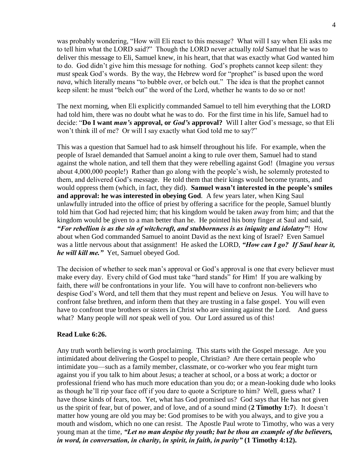was probably wondering, "How will Eli react to this message? What will I say when Eli asks me to tell him what the LORD said?" Though the LORD never actually *told* Samuel that he was to deliver this message to Eli, Samuel knew, in his heart, that that was exactly what God wanted him to do. God didn't give him this message for nothing. God's prophets cannot keep silent: they *must* speak God's words. By the way, the Hebrew word for "prophet" is based upon the word *nava,* which literally means "to bubble over, or belch out." The idea is that the prophet cannot keep silent: he must "belch out" the word of the Lord, whether he wants to do so or not!

The next morning, when Eli explicitly commanded Samuel to tell him everything that the LORD had told him, there was no doubt what he was to do. For the first time in his life, Samuel had to decide: "**Do I want** *man's* **approval, or** *God's* **approval?** Will I alter God's message, so that Eli won't think ill of me? Or will I say exactly what God told me to say?"

This was a question that Samuel had to ask himself throughout his life. For example, when the people of Israel demanded that Samuel anoint a king to rule over them, Samuel had to stand against the whole nation, and tell them that they were rebelling against God! (Imagine you *versus* about 4,000,000 people!) Rather than go along with the people's wish, he solemnly protested to them, and delivered God's message. He told them that their kings would become tyrants, and would oppress them (which, in fact, they did). **Samuel wasn't interested in the people's smiles and approval: he was interested in obeying God**. A few years later, when King Saul unlawfully intruded into the office of priest by offering a sacrifice for the people, Samuel bluntly told him that God had rejected him; that his kingdom would be taken away from him; and that the kingdom would be given to a man better than he. He pointed his bony finger at Saul and said, *"For rebellion is as the sin of witchcraft, and stubbornness is as iniquity and idolatry"*! How about when God commanded Samuel to anoint David as the next king of Israel? Even Samuel was a little nervous about that assignment! He asked the LORD, *"How can I go? If Saul hear it, he will kill me."* Yet, Samuel obeyed God.

The decision of whether to seek man's approval or God's approval is one that every believer must make every day. Every child of God must take "hard stands" for Him! If you are walking by faith, there *will* be confrontations in your life. You will have to confront non-believers who despise God's Word, and tell them that they must repent and believe on Jesus. You will have to confront false brethren, and inform them that they are trusting in a false gospel. You will even have to confront true brothers or sisters in Christ who are sinning against the Lord. And guess what? Many people will *not* speak well of you. Our Lord assured us of this!

## **Read Luke 6:26.**

Any truth worth believing is worth proclaiming. This starts with the Gospel message. Are you intimidated about delivering the Gospel to people, Christian? Are there certain people who intimidate you—such as a family member, classmate, or co-worker who you fear might turn against you if you talk to him about Jesus; a teacher at school, or a boss at work; a doctor or professional friend who has much more education than you do; or a mean-looking dude who looks as though he'll rip your face off if you dare to quote a Scripture to him? Well, guess what? I have those kinds of fears, too. Yet, what has God promised us? God says that He has not given us the spirit of fear, but of power, and of love, and of a sound mind (**2 Timothy 1:7**). It doesn't matter how young are old you may be: God promises to be with you always, and to give you a mouth and wisdom, which no one can resist. The Apostle Paul wrote to Timothy, who was a very young man at the time, *"Let no man despise thy youth; but be thou an example of the believers, in word, in conversation, in charity, in spirit, in faith, in purity"* **(1 Timothy 4:12).**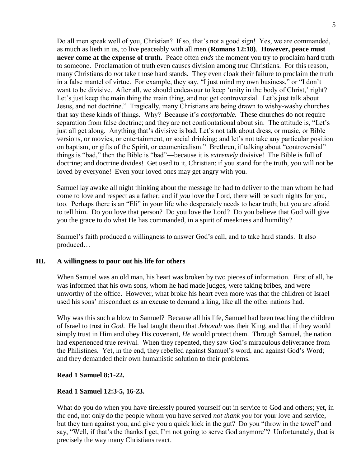Do all men speak well of you, Christian? If so, that's not a good sign! Yes, we are commanded, as much as lieth in us, to live peaceably with all men (**Romans 12:18)**. **However, peace must never come at the expense of truth.** Peace often *ends* the moment you try to proclaim hard truth to someone. Proclamation of truth even causes division among true Christians. For this reason, many Christians do *not* take those hard stands. They even cloak their failure to proclaim the truth in a false mantel of virtue. For example, they say, "I just mind my own business," or "I don't want to be divisive. After all, we should endeavour to keep 'unity in the body of Christ,' right? Let's just keep the main thing the main thing, and not get controversial. Let's just talk about Jesus, and not doctrine." Tragically, many Christians are being drawn to wishy-washy churches that say these kinds of things. Why? Because it's *comfortable.* These churches do not require separation from false doctrine; and they are not confrontational about sin. The attitude is, "Let's just all get along. Anything that's divisive is bad. Let's not talk about dress, or music, or Bible versions, or movies, or entertainment, or social drinking; and let's not take any particular position on baptism, or gifts of the Spirit, or ecumenicalism." Brethren, if talking about "controversial" things is "bad," then the Bible is "bad"—because it is *extremely* divisive! The Bible is full of doctrine; and doctrine divides! Get used to it, Christian: if you stand for the truth, you will not be loved by everyone! Even your loved ones may get angry with you.

Samuel lay awake all night thinking about the message he had to deliver to the man whom he had come to love and respect as a father; and if *you* love the Lord, there will be such nights for you, too. Perhaps there is an "Eli" in your life who desperately needs to hear truth; but you are afraid to tell him. Do you love that person? Do you love the Lord? Do you believe that God will give you the grace to do what He has commanded, in a spirit of meekness and humility?

Samuel's faith produced a willingness to answer God's call, and to take hard stands. It also produced…

## **III. A willingness to pour out his life for others**

When Samuel was an old man, his heart was broken by two pieces of information. First of all, he was informed that his own sons, whom he had made judges, were taking bribes, and were unworthy of the office. However, what broke his heart even more was that the children of Israel used his sons' misconduct as an excuse to demand a king, like all the other nations had.

Why was this such a blow to Samuel? Because all his life, Samuel had been teaching the children of Israel to trust in *God*. He had taught them that *Jehovah* was their King, and that if they would simply trust in Him and obey His covenant, *He* would protect them. Through Samuel, the nation had experienced true revival. When they repented, they saw God's miraculous deliverance from the Philistines. Yet, in the end, they rebelled against Samuel's word, and against God's Word; and they demanded their own humanistic solution to their problems.

## **Read 1 Samuel 8:1-22.**

#### **Read 1 Samuel 12:3-5, 16-23.**

What do you do when you have tirelessly poured yourself out in service to God and others; yet, in the end, not only do the people whom you have served *not thank you* for your love and service, but they turn against you, and give you a quick kick in the gut? Do you "throw in the towel" and say, "Well, if that's the thanks I get, I'm not going to serve God anymore"? Unfortunately, that is precisely the way many Christians react.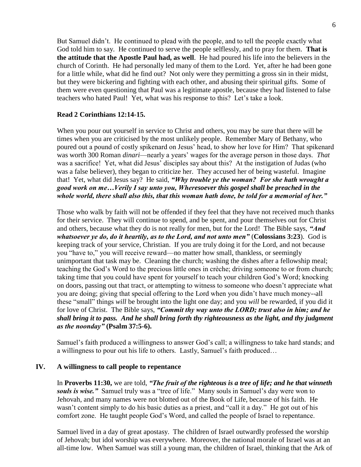But Samuel didn't. He continued to plead with the people, and to tell the people exactly what God told him to say. He continued to serve the people selflessly, and to pray for them. **That is the attitude that the Apostle Paul had, as well**. He had poured his life into the believers in the church of Corinth. He had personally led many of them to the Lord. Yet, after he had been gone for a little while, what did he find out? Not only were they permitting a gross sin in their midst, but they were bickering and fighting with each other, and abusing their spiritual gifts. Some of them were even questioning that Paul was a legitimate apostle, because they had listened to false teachers who hated Paul! Yet, what was his response to this? Let's take a look.

# **Read 2 Corinthians 12:14-15.**

When you pour out yourself in service to Christ and others, you may be sure that there will be times when you are criticised by the most unlikely people. Remember Mary of Bethany, who poured out a pound of costly spikenard on Jesus' head, to show her love for Him? That spikenard was worth 300 Roman *dinari*—nearly a years' wages for the average person in those days. *That*  was a sacrifice! Yet, what did Jesus' disciples say about this? At the instigation of Judas (who was a false believer), they began to criticize her. They accused her of being wasteful. Imagine that! Yet, what did Jesus say? He said, *"Why trouble ye the woman? For she hath wrought a good work on me…Verily I say unto you, Wheresoever this gospel shall be preached in the whole world, there shall also this, that this woman hath done, be told for a memorial of her."* 

Those who walk by faith will not be offended if they feel that they have not received much thanks for their service. They will continue to spend, and be spent, and pour themselves out for Christ and others, because what they do is not really for men, but for the Lord! The Bible says, *"And whatsoever ye do, do it heartily, as to the Lord, and not unto men"* (**Colossians 3:23**). God is keeping track of your service, Christian. If you are truly doing it for the Lord, and not because you "have to," you will receive reward—no matter how small, thankless, or seemingly unimportant that task may be. Cleaning the church; washing the dishes after a fellowship meal; teaching the God's Word to the precious little ones in crèche; driving someone to or from church; taking time that you could have spent for yourself to teach your children God's Word; knocking on doors, passing out that tract, or attempting to witness to someone who doesn't appreciate what you are doing; giving that special offering to the Lord when you didn't have much money--all these "small" things *will* be brought into the light one day; and you *will* be rewarded, if you did it for love of Christ. The Bible says, *"Commit thy way unto the LORD; trust also in him; and he shall bring it to pass. And he shall bring forth thy righteousness as the light, and thy judgment as the noonday"* **(Psalm 37:5-6).**

Samuel's faith produced a willingness to answer God's call; a willingness to take hard stands; and a willingness to pour out his life to others. Lastly, Samuel's faith produced…

## **IV. A willingness to call people to repentance**

In **Proverbs 11:30,** we are told, *"The fruit of the righteous is a tree of life; and he that winneth souls is wise."* Samuel truly was a "tree of life." Many souls in Samuel's day were won to Jehovah, and many names were not blotted out of the Book of Life, because of his faith. He wasn't content simply to do his basic duties as a priest, and "call it a day." He got out of his comfort zone. He taught people God's Word, and called the people of Israel to repentance.

Samuel lived in a day of great apostasy. The children of Israel outwardly professed the worship of Jehovah; but idol worship was everywhere. Moreover, the national morale of Israel was at an all-time low. When Samuel was still a young man, the children of Israel, thinking that the Ark of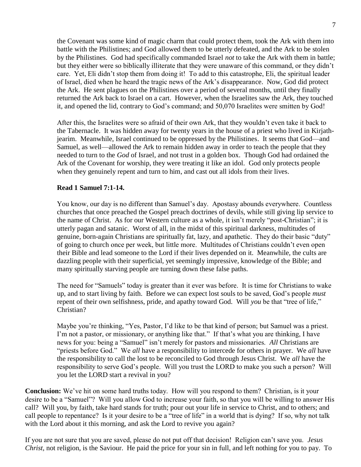the Covenant was some kind of magic charm that could protect them, took the Ark with them into battle with the Philistines; and God allowed them to be utterly defeated, and the Ark to be stolen by the Philistines. God had specifically commanded Israel *not* to take the Ark with them in battle; but they either were so biblically illiterate that they were unaware of this command, or they didn't care. Yet, Eli didn't stop them from doing it! To add to this catastrophe, Eli, the spiritual leader of Israel, died when he heard the tragic news of the Ark's disappearance. Now, God did protect the Ark. He sent plagues on the Philistines over a period of several months, until they finally returned the Ark back to Israel on a cart. However, when the Israelites saw the Ark, they touched it, and opened the lid, contrary to God's command; and 50,070 Israelites were smitten by God!

After this, the Israelites were so afraid of their own Ark, that they wouldn't even take it back to the Tabernacle. It was hidden away for twenty years in the house of a priest who lived in Kirjathjearim. Meanwhile, Israel continued to be oppressed by the Philistines. It seems that God—and Samuel, as well—allowed the Ark to remain hidden away in order to teach the people that they needed to turn to the *God* of Israel, and not trust in a golden box. Though God had ordained the Ark of the Covenant for worship, they were treating it like an idol. God only protects people when they genuinely repent and turn to him, and cast out all idols from their lives.

# **Read 1 Samuel 7:1-14.**

You know, our day is no different than Samuel's day. Apostasy abounds everywhere. Countless churches that once preached the Gospel preach doctrines of devils, while still giving lip service to the name of Christ. As for our Western culture as a whole, it isn't merely "post-Christian"; it is utterly pagan and satanic. Worst of all, in the midst of this spiritual darkness, multitudes of genuine, born-again Christians are spiritually fat, lazy, and apathetic. They do their basic "duty" of going to church once per week, but little more. Multitudes of Christians couldn't even open their Bible and lead someone to the Lord if their lives depended on it. Meanwhile, the cults are dazzling people with their superficial, yet seemingly impressive, knowledge of the Bible; and many spiritually starving people are turning down these false paths.

The need for "Samuels" today is greater than it ever was before. It is time for Christians to wake up, and to start living by faith. Before we can expect lost souls to be saved, God's people *must* repent of their own selfishness, pride, and apathy toward God. Will *you* be that "tree of life," Christian?

Maybe you're thinking, "Yes, Pastor, I'd like to be that kind of person; but Samuel was a priest. I'm not a pastor, or missionary, or anything like that." If that's what you are thinking, I have news for you: being a "Samuel" isn't merely for pastors and missionaries. *All* Christians are "priests before God." We *all* have a responsibility to intercede for others in prayer. We *all* have the responsibility to call the lost to be reconciled to God through Jesus Christ. We *all* have the responsibility to serve God's people. Will you trust the LORD to make you such a person? Will you let the LORD start a revival in you?

**Conclusion:** We've hit on some hard truths today. How will you respond to them? Christian, is it your desire to be a "Samuel"? Will you allow God to increase your faith, so that you will be willing to answer His call? Will you, by faith, take hard stands for truth; pour out your life in service to Christ, and to others; and call people to repentance? Is it your desire to be a "tree of life" in a world that is dying? If so, why not talk with the Lord about it this morning, and ask the Lord to revive you again?

If you are not sure that you are saved, please do not put off that decision! Religion can't save you. *Jesus Christ,* not religion, is the Saviour. He paid the price for your sin in full, and left nothing for you to pay. To